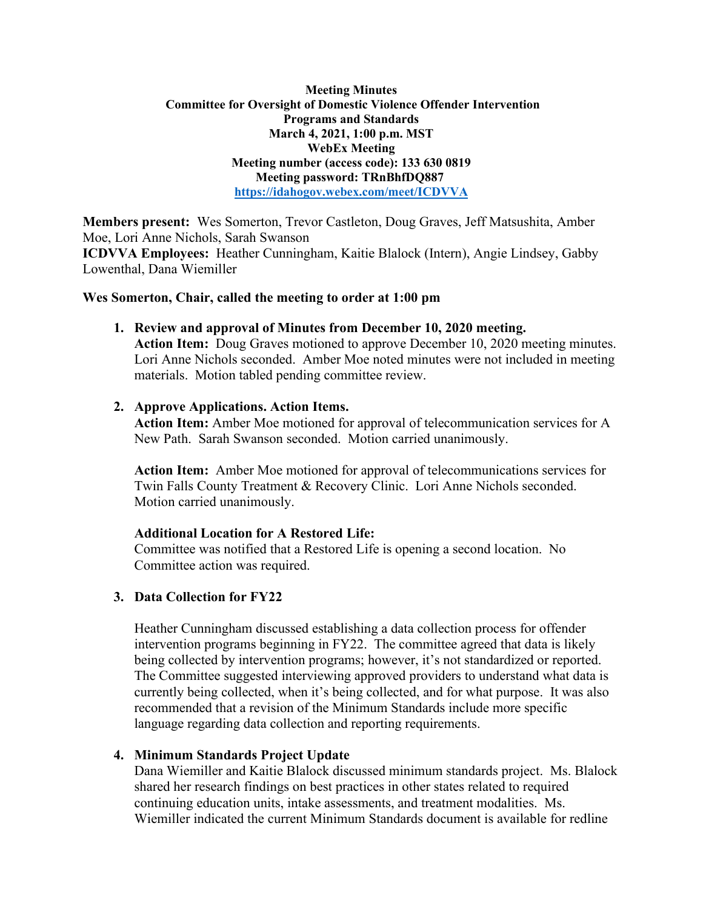## **Meeting Minutes Committee for Oversight of Domestic Violence Offender Intervention Programs and Standards March 4, 2021, 1:00 p.m. MST WebEx Meeting Meeting number (access code): 133 630 0819 Meeting password: TRnBhfDQ887 <https://idahogov.webex.com/meet/ICDVVA>**

**Members present:** Wes Somerton, Trevor Castleton, Doug Graves, Jeff Matsushita, Amber Moe, Lori Anne Nichols, Sarah Swanson

**ICDVVA Employees:** Heather Cunningham, Kaitie Blalock (Intern), Angie Lindsey, Gabby Lowenthal, Dana Wiemiller

# **Wes Somerton, Chair, called the meeting to order at 1:00 pm**

**1. Review and approval of Minutes from December 10, 2020 meeting.** 

**Action Item:** Doug Graves motioned to approve December 10, 2020 meeting minutes. Lori Anne Nichols seconded. Amber Moe noted minutes were not included in meeting materials. Motion tabled pending committee review.

## **2. Approve Applications. Action Items.**

**Action Item:** Amber Moe motioned for approval of telecommunication services for A New Path. Sarah Swanson seconded. Motion carried unanimously.

**Action Item:** Amber Moe motioned for approval of telecommunications services for Twin Falls County Treatment & Recovery Clinic. Lori Anne Nichols seconded. Motion carried unanimously.

# **Additional Location for A Restored Life:**

Committee was notified that a Restored Life is opening a second location. No Committee action was required.

# **3. Data Collection for FY22**

Heather Cunningham discussed establishing a data collection process for offender intervention programs beginning in FY22. The committee agreed that data is likely being collected by intervention programs; however, it's not standardized or reported. The Committee suggested interviewing approved providers to understand what data is currently being collected, when it's being collected, and for what purpose. It was also recommended that a revision of the Minimum Standards include more specific language regarding data collection and reporting requirements.

# **4. Minimum Standards Project Update**

Dana Wiemiller and Kaitie Blalock discussed minimum standards project. Ms. Blalock shared her research findings on best practices in other states related to required continuing education units, intake assessments, and treatment modalities. Ms. Wiemiller indicated the current Minimum Standards document is available for redline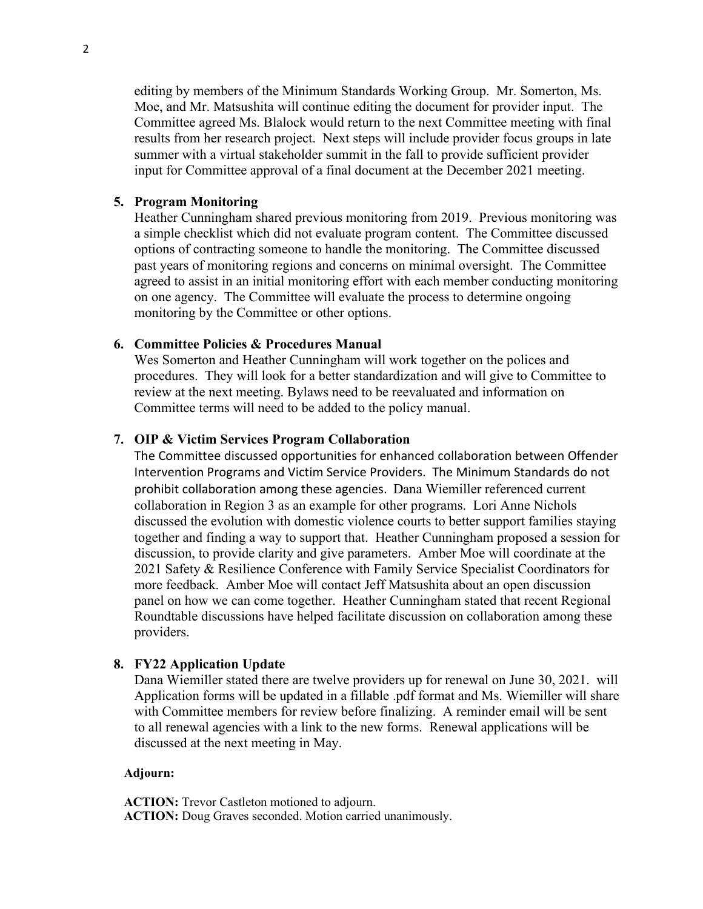editing by members of the Minimum Standards Working Group. Mr. Somerton, Ms. Moe, and Mr. Matsushita will continue editing the document for provider input. The Committee agreed Ms. Blalock would return to the next Committee meeting with final results from her research project. Next steps will include provider focus groups in late summer with a virtual stakeholder summit in the fall to provide sufficient provider input for Committee approval of a final document at the December 2021 meeting.

### **5. Program Monitoring**

Heather Cunningham shared previous monitoring from 2019. Previous monitoring was a simple checklist which did not evaluate program content. The Committee discussed options of contracting someone to handle the monitoring. The Committee discussed past years of monitoring regions and concerns on minimal oversight. The Committee agreed to assist in an initial monitoring effort with each member conducting monitoring on one agency. The Committee will evaluate the process to determine ongoing monitoring by the Committee or other options.

### **6. Committee Policies & Procedures Manual**

Wes Somerton and Heather Cunningham will work together on the polices and procedures. They will look for a better standardization and will give to Committee to review at the next meeting. Bylaws need to be reevaluated and information on Committee terms will need to be added to the policy manual.

### **7. OIP & Victim Services Program Collaboration**

The Committee discussed opportunities for enhanced collaboration between Offender Intervention Programs and Victim Service Providers. The Minimum Standards do not prohibit collaboration among these agencies. Dana Wiemiller referenced current collaboration in Region 3 as an example for other programs. Lori Anne Nichols discussed the evolution with domestic violence courts to better support families staying together and finding a way to support that. Heather Cunningham proposed a session for discussion, to provide clarity and give parameters. Amber Moe will coordinate at the 2021 Safety & Resilience Conference with Family Service Specialist Coordinators for more feedback. Amber Moe will contact Jeff Matsushita about an open discussion panel on how we can come together. Heather Cunningham stated that recent Regional Roundtable discussions have helped facilitate discussion on collaboration among these providers.

### **8. FY22 Application Update**

Dana Wiemiller stated there are twelve providers up for renewal on June 30, 2021. will Application forms will be updated in a fillable .pdf format and Ms. Wiemiller will share with Committee members for review before finalizing. A reminder email will be sent to all renewal agencies with a link to the new forms. Renewal applications will be discussed at the next meeting in May.

### **Adjourn:**

**ACTION:** Trevor Castleton motioned to adjourn. **ACTION:** Doug Graves seconded. Motion carried unanimously.